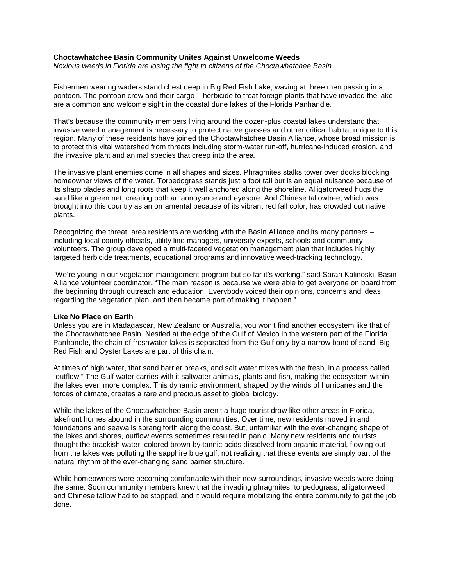## **Choctawhatchee Basin Community Unites Against Unwelcome Weeds**

*Noxious weeds in Florida are losing the fight to citizens of the Choctawhatchee Basin*

Fishermen wearing waders stand chest deep in Big Red Fish Lake, waving at three men passing in a pontoon. The pontoon crew and their cargo – herbicide to treat foreign plants that have invaded the lake – are a common and welcome sight in the coastal dune lakes of the Florida Panhandle.

That's because the community members living around the dozen-plus coastal lakes understand that invasive weed management is necessary to protect native grasses and other critical habitat unique to this region. Many of these residents have joined the Choctawhatchee Basin Alliance, whose broad mission is to protect this vital watershed from threats including storm-water run-off, hurricane-induced erosion, and the invasive plant and animal species that creep into the area.

The invasive plant enemies come in all shapes and sizes. Phragmites stalks tower over docks blocking homeowner views of the water. Torpedograss stands just a foot tall but is an equal nuisance because of its sharp blades and long roots that keep it well anchored along the shoreline. Alligatorweed hugs the sand like a green net, creating both an annoyance and eyesore. And Chinese tallowtree, which was brought into this country as an ornamental because of its vibrant red fall color, has crowded out native plants.

Recognizing the threat, area residents are working with the Basin Alliance and its many partners – including local county officials, utility line managers, university experts, schools and community volunteers. The group developed a multi-faceted vegetation management plan that includes highly targeted herbicide treatments, educational programs and innovative weed-tracking technology.

"We're young in our vegetation management program but so far it's working," said Sarah Kalinoski, Basin Alliance volunteer coordinator. "The main reason is because we were able to get everyone on board from the beginning through outreach and education. Everybody voiced their opinions, concerns and ideas regarding the vegetation plan, and then became part of making it happen."

### **Like No Place on Earth**

Unless you are in Madagascar, New Zealand or Australia, you won't find another ecosystem like that of the Choctawhatchee Basin. Nestled at the edge of the Gulf of Mexico in the western part of the Florida Panhandle, the chain of freshwater lakes is separated from the Gulf only by a narrow band of sand. Big Red Fish and Oyster Lakes are part of this chain.

At times of high water, that sand barrier breaks, and salt water mixes with the fresh, in a process called "outflow." The Gulf water carries with it saltwater animals, plants and fish, making the ecosystem within the lakes even more complex. This dynamic environment, shaped by the winds of hurricanes and the forces of climate, creates a rare and precious asset to global biology.

While the lakes of the Choctawhatchee Basin aren't a huge tourist draw like other areas in Florida, lakefront homes abound in the surrounding communities. Over time, new residents moved in and foundations and seawalls sprang forth along the coast. But, unfamiliar with the ever-changing shape of the lakes and shores, outflow events sometimes resulted in panic. Many new residents and tourists thought the brackish water, colored brown by tannic acids dissolved from organic material, flowing out from the lakes was polluting the sapphire blue gulf, not realizing that these events are simply part of the natural rhythm of the ever-changing sand barrier structure.

While homeowners were becoming comfortable with their new surroundings, invasive weeds were doing the same. Soon community members knew that the invading phragmites, torpedograss, alligatorweed and Chinese tallow had to be stopped, and it would require mobilizing the entire community to get the job done.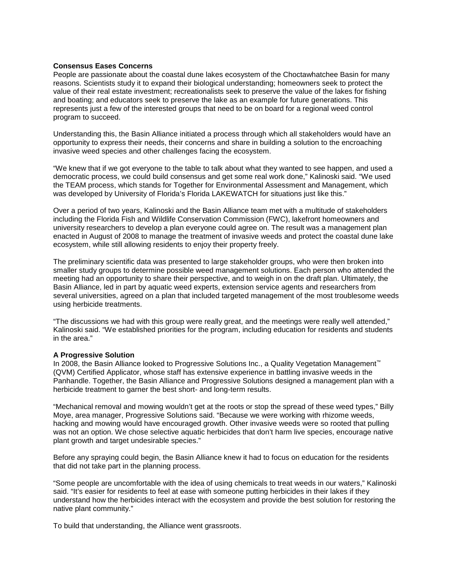## **Consensus Eases Concerns**

People are passionate about the coastal dune lakes ecosystem of the Choctawhatchee Basin for many reasons. Scientists study it to expand their biological understanding; homeowners seek to protect the value of their real estate investment; recreationalists seek to preserve the value of the lakes for fishing and boating; and educators seek to preserve the lake as an example for future generations. This represents just a few of the interested groups that need to be on board for a regional weed control program to succeed.

Understanding this, the Basin Alliance initiated a process through which all stakeholders would have an opportunity to express their needs, their concerns and share in building a solution to the encroaching invasive weed species and other challenges facing the ecosystem.

"We knew that if we got everyone to the table to talk about what they wanted to see happen, and used a democratic process, we could build consensus and get some real work done," Kalinoski said. "We used the TEAM process, which stands for Together for Environmental Assessment and Management, which was developed by University of Florida's Florida LAKEWATCH for situations just like this."

Over a period of two years, Kalinoski and the Basin Alliance team met with a multitude of stakeholders including the Florida Fish and Wildlife Conservation Commission (FWC), lakefront homeowners and university researchers to develop a plan everyone could agree on. The result was a management plan enacted in August of 2008 to manage the treatment of invasive weeds and protect the coastal dune lake ecosystem, while still allowing residents to enjoy their property freely.

The preliminary scientific data was presented to large stakeholder groups, who were then broken into smaller study groups to determine possible weed management solutions. Each person who attended the meeting had an opportunity to share their perspective, and to weigh in on the draft plan. Ultimately, the Basin Alliance, led in part by aquatic weed experts, extension service agents and researchers from several universities, agreed on a plan that included targeted management of the most troublesome weeds using herbicide treatments.

"The discussions we had with this group were really great, and the meetings were really well attended," Kalinoski said. "We established priorities for the program, including education for residents and students in the area."

# **A Progressive Solution**

In 2008, the Basin Alliance looked to Progressive Solutions Inc., a Quality Vegetation Management™ (QVM) Certified Applicator, whose staff has extensive experience in battling invasive weeds in the Panhandle. Together, the Basin Alliance and Progressive Solutions designed a management plan with a herbicide treatment to garner the best short- and long-term results.

"Mechanical removal and mowing wouldn't get at the roots or stop the spread of these weed types," Billy Moye, area manager, Progressive Solutions said. "Because we were working with rhizome weeds, hacking and mowing would have encouraged growth. Other invasive weeds were so rooted that pulling was not an option. We chose selective aquatic herbicides that don't harm live species, encourage native plant growth and target undesirable species."

Before any spraying could begin, the Basin Alliance knew it had to focus on education for the residents that did not take part in the planning process.

"Some people are uncomfortable with the idea of using chemicals to treat weeds in our waters," Kalinoski said. "It's easier for residents to feel at ease with someone putting herbicides in their lakes if they understand how the herbicides interact with the ecosystem and provide the best solution for restoring the native plant community."

To build that understanding, the Alliance went grassroots.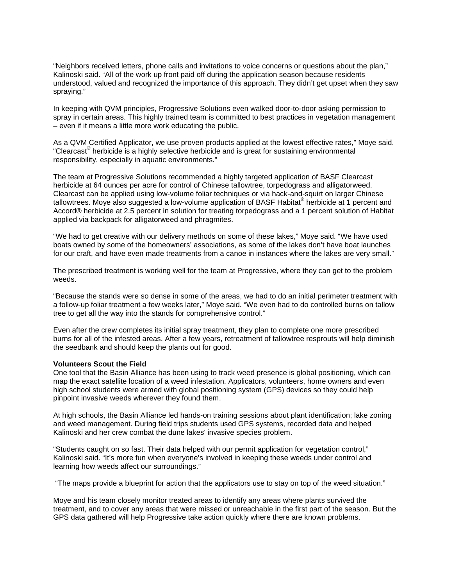"Neighbors received letters, phone calls and invitations to voice concerns or questions about the plan," Kalinoski said. "All of the work up front paid off during the application season because residents understood, valued and recognized the importance of this approach. They didn't get upset when they saw spraying."

In keeping with QVM principles, Progressive Solutions even walked door-to-door asking permission to spray in certain areas. This highly trained team is committed to best practices in vegetation management – even if it means a little more work educating the public.

As a QVM Certified Applicator, we use proven products applied at the lowest effective rates," Moye said. "Clearcast $^{\circ}$  herbicide is a highly selective herbicide and is great for sustaining environmental responsibility, especially in aquatic environments."

The team at Progressive Solutions recommended a highly targeted application of BASF Clearcast herbicide at 64 ounces per acre for control of Chinese tallowtree, torpedograss and alligatorweed. Clearcast can be applied using low-volume foliar techniques or via hack-and-squirt on larger Chinese tallowtrees. Moye also suggested a low-volume application of BASF Habitat<sup>®</sup> herbicide at 1 percent and Accord® herbicide at 2.5 percent in solution for treating torpedograss and a 1 percent solution of Habitat applied via backpack for alligatorweed and phragmites.

"We had to get creative with our delivery methods on some of these lakes," Moye said. "We have used boats owned by some of the homeowners' associations, as some of the lakes don't have boat launches for our craft, and have even made treatments from a canoe in instances where the lakes are very small."

The prescribed treatment is working well for the team at Progressive, where they can get to the problem weeds.

"Because the stands were so dense in some of the areas, we had to do an initial perimeter treatment with a follow-up foliar treatment a few weeks later," Moye said. "We even had to do controlled burns on tallow tree to get all the way into the stands for comprehensive control."

Even after the crew completes its initial spray treatment, they plan to complete one more prescribed burns for all of the infested areas. After a few years, retreatment of tallowtree resprouts will help diminish the seedbank and should keep the plants out for good.

### **Volunteers Scout the Field**

One tool that the Basin Alliance has been using to track weed presence is global positioning, which can map the exact satellite location of a weed infestation. Applicators, volunteers, home owners and even high school students were armed with global positioning system (GPS) devices so they could help pinpoint invasive weeds wherever they found them.

At high schools, the Basin Alliance led hands-on training sessions about plant identification; lake zoning and weed management. During field trips students used GPS systems, recorded data and helped Kalinoski and her crew combat the dune lakes' invasive species problem.

"Students caught on so fast. Their data helped with our permit application for vegetation control," Kalinoski said. "It's more fun when everyone's involved in keeping these weeds under control and learning how weeds affect our surroundings."

"The maps provide a blueprint for action that the applicators use to stay on top of the weed situation."

Moye and his team closely monitor treated areas to identify any areas where plants survived the treatment, and to cover any areas that were missed or unreachable in the first part of the season. But the GPS data gathered will help Progressive take action quickly where there are known problems.